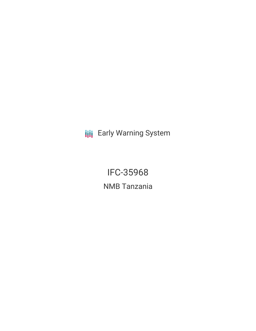**III** Early Warning System

IFC-35968 NMB Tanzania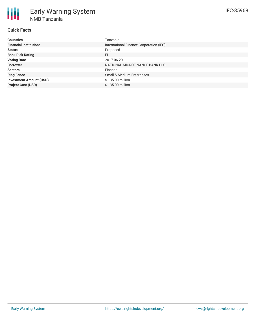| <b>Countries</b>               | Tanzania                                |
|--------------------------------|-----------------------------------------|
| <b>Financial Institutions</b>  | International Finance Corporation (IFC) |
| <b>Status</b>                  | Proposed                                |
| <b>Bank Risk Rating</b>        | FI                                      |
| <b>Voting Date</b>             | 2017-06-20                              |
| <b>Borrower</b>                | NATIONAL MICROFINANCE BANK PLC          |
| <b>Sectors</b>                 | Finance                                 |
| <b>Ring Fence</b>              | Small & Medium Enterprises              |
| <b>Investment Amount (USD)</b> | \$135.00 million                        |
| <b>Project Cost (USD)</b>      | \$135.00 million                        |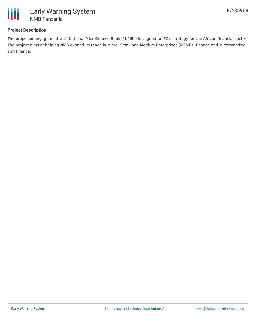

## **Project Description**

The proposed engagement with National Microfinance Bank ("NMB") is aligned to IFC's strategy for the African financial sector. The project aims at helping NMB expand its reach in Micro, Small and Medium Enterprises (MSMEs) finance and in commodity agri finance.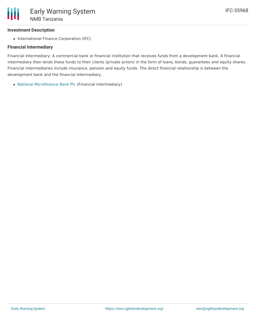# **Investment Description**

• International Finance Corporation (IFC)

### **Financial Intermediary**

Financial Intermediary: A commercial bank or financial institution that receives funds from a development bank. A financial intermediary then lends these funds to their clients (private actors) in the form of loans, bonds, guarantees and equity shares. Financial intermediaries include insurance, pension and equity funds. The direct financial relationship is between the development bank and the financial intermediary.

National [Microfinance](file:///actor/1058/) Bank Plc (Financial Intermediary)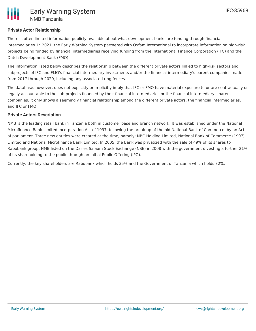### **Private Actor Relationship**

There is often limited information publicly available about what development banks are funding through financial intermediaries. In 2021, the Early Warning System partnered with Oxfam International to incorporate information on high-risk projects being funded by financial intermediaries receiving funding from the International Finance Corporation (IFC) and the Dutch Development Bank (FMO).

The information listed below describes the relationship between the different private actors linked to high-risk sectors and subprojects of IFC and FMO's financial intermediary investments and/or the financial intermediary's parent companies made from 2017 through 2020, including any associated ring fences.

The database, however, does not explicitly or implicitly imply that IFC or FMO have material exposure to or are contractually or legally accountable to the sub-projects financed by their financial intermediaries or the financial intermediary's parent companies. It only shows a seemingly financial relationship among the different private actors, the financial intermediaries, and IFC or FMO.

### **Private Actors Description**

NMB is the leading retail bank in Tanzania both in customer base and branch network. It was established under the National Microfinance Bank Limited Incorporation Act of 1997, following the break-up of the old National Bank of Commerce, by an Act of parliament. Three new entities were created at the time, namely: NBC Holding Limited, National Bank of Commerce (1997) Limited and National Microfinance Bank Limited. In 2005, the Bank was privatized with the sale of 49% of its shares to Rabobank group. NMB listed on the Dar es Salaam Stock Exchange (NSE) in 2008 with the government divesting a further 21% of its shareholding to the public through an Initial Public Offering (IPO).

Currently, the key shareholders are Rabobank which holds 35% and the Government of Tanzania which holds 32%.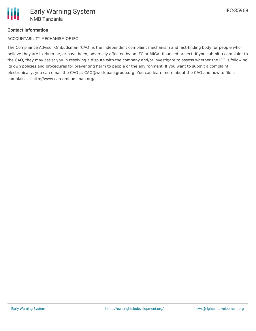# **Contact Information**

ACCOUNTABILITY MECHANISM OF IFC

The Compliance Advisor Ombudsman (CAO) is the independent complaint mechanism and fact-finding body for people who believe they are likely to be, or have been, adversely affected by an IFC or MIGA- financed project. If you submit a complaint to the CAO, they may assist you in resolving a dispute with the company and/or investigate to assess whether the IFC is following its own policies and procedures for preventing harm to people or the environment. If you want to submit a complaint electronically, you can email the CAO at CAO@worldbankgroup.org. You can learn more about the CAO and how to file a complaint at http://www.cao-ombudsman.org/